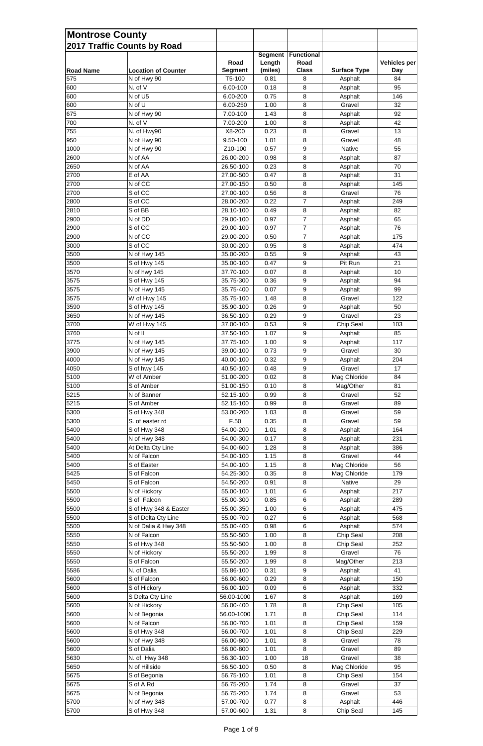| <b>Montrose County</b>  | 2017 Traffic Counts by Road               |                          |                          |                       |                                |                  |
|-------------------------|-------------------------------------------|--------------------------|--------------------------|-----------------------|--------------------------------|------------------|
|                         |                                           | Road                     | <b>Segment</b><br>Length | Functional<br>Road    |                                | Vehicles per     |
| <b>Road Name</b><br>575 | <b>Location of Counter</b><br>N of Hwy 90 | <b>Segment</b><br>T5-100 | (miles)<br>0.81          | <b>Class</b><br>8     | <b>Surface Type</b><br>Asphalt | <b>Day</b><br>84 |
| 600                     | N. of V                                   | 6.00-100                 | 0.18                     | 8                     | Asphalt                        | 95               |
| 600                     | N of U5                                   | 6.00-200                 | 0.75                     | 8                     | Asphalt                        | 146              |
| 600                     | N of U                                    | 6.00-250                 | 1.00                     | 8                     | Gravel                         | 32               |
| 675                     | N of Hwy 90                               | 7.00-100                 | 1.43                     | 8                     | Asphalt                        | 92               |
| 700                     | N. of V                                   | 7.00-200                 | 1.00                     | 8                     | Asphalt                        | 42               |
| 755                     | N. of Hwy90                               | X8-200                   | 0.23                     | 8                     | Gravel                         | 13               |
| 950                     | N of Hwy 90                               | 9.50-100                 | 1.01                     | 8                     | Gravel                         | 48               |
| 1000                    | N of Hwy 90                               | Z10-100                  | 0.57                     | 9                     | Native                         | 55               |
| 2600                    | N of AA                                   | 26.00-200                | 0.98                     | 8                     | Asphalt                        | 87               |
| 2650<br>2700            | N of AA<br>E of AA                        | 26.50-100<br>27.00-500   | 0.23<br>0.47             | 8                     | Asphalt                        | 70<br>31         |
| 2700                    | N of CC                                   | 27.00-150                | 0.50                     | 8<br>8                | Asphalt<br>Asphalt             | 145              |
| 2700                    | S of CC                                   | 27.00-100                | 0.56                     | 8                     | Gravel                         | 76               |
| 2800                    | S of CC                                   | 28.00-200                | 0.22                     | 7                     | Asphalt                        | 249              |
| 2810                    | S of BB                                   | 28.10-100                | 0.49                     | 8                     | Asphalt                        | 82               |
| 2900                    | N of DD                                   | 29.00-100                | 0.97                     | 7                     | Asphalt                        | 65               |
| 2900                    | S of CC                                   | 29.00-100                | 0.97                     | $\overline{7}$        | Asphalt                        | 76               |
| 2900                    | N of CC                                   | 29.00-200                | 0.50                     | 7                     | Asphalt                        | 175              |
| 3000                    | S of CC                                   | 30.00-200                | 0.95                     | $\, 8$                | Asphalt                        | 474              |
| 3500                    | N of Hwy 145                              | 35.00-200                | 0.55                     | 9                     | Asphalt                        | 43               |
| 3500                    | S of Hwy 145                              | 35.00-100                | 0.47                     | 9                     | Pit Run                        | 21               |
| 3570                    | N of hwy 145                              | 37.70-100                | 0.07                     | 8                     | Asphalt                        | 10               |
| 3575                    | S of Hwy 145                              | 35.75-300                | 0.36                     | 9                     | Asphalt                        | 94               |
| 3575<br>3575            | N of Hwy 145<br>W of Hwy 145              | 35.75-400<br>35.75-100   | 0.07<br>1.48             | $\boldsymbol{9}$<br>8 | Asphalt<br>Gravel              | 99<br>122        |
| 3590                    | S of Hwy 145                              | 35.90-100                | 0.26                     | 9                     | Asphalt                        | 50               |
| 3650                    | N of Hwy 145                              | 36.50-100                | 0.29                     | 9                     | Gravel                         | 23               |
| 3700                    | W of Hwy 145                              | 37.00-100                | 0.53                     | 9                     | Chip Seal                      | 103              |
| 3760                    | N of II                                   | 37.50-100                | 1.07                     | 9                     | Asphalt                        | 85               |
| 3775                    | N of Hwy 145                              | 37.75-100                | 1.00                     | 9                     | Asphalt                        | 117              |
| 3900                    | N of Hwy 145                              | 39.00-100                | 0.73                     | 9                     | Gravel                         | 30               |
| 4000                    | N of Hwy 145                              | 40.00-100                | 0.32                     | 9                     | Asphalt                        | 204              |
| 4050                    | S of hwy 145                              | 40.50-100                | 0.48                     | 9                     | Gravel                         | 17               |
| 5100                    | W of Amber                                | 51.00-200                | 0.02                     | 8                     | Mag Chloride                   | 84               |
| 5100                    | S of Amber                                | 51.00-150                | 0.10                     | 8                     | Mag/Other                      | 81               |
| 5215                    | N of Banner                               | 52.15-100                | 0.99                     | 8                     | Gravel                         | 52               |
| 5215                    | S of Amber                                | 52.15-100                | 0.99                     | 8                     | Gravel                         | 89               |
| 5300<br>5300            | S of Hwy 348<br>S. of easter rd           | 53.00-200<br>F.50        | 1.03<br>0.35             | 8<br>8                | Gravel<br>Gravel               | 59<br>59         |
| 5400                    | S of Hwy 348                              | 54.00-200                | 1.01                     | 8                     | Asphalt                        | 164              |
| 5400                    | N of Hwy 348                              | 54.00-300                | 0.17                     | 8                     | Asphalt                        | 231              |
| 5400                    | At Delta Cty Line                         | 54.00-600                | 1.28                     | 8                     | Asphalt                        | 386              |
| 5400                    | N of Falcon                               | 54.00-100                | 1.15                     | 8                     | Gravel                         | 44               |
| 5400                    | S of Easter                               | 54.00-100                | 1.15                     | 8                     | Mag Chloride                   | 56               |
| 5425                    | S of Falcon                               | 54.25-300                | 0.35                     | 8                     | Mag Chloride                   | 179              |
| 5450                    | S of Falcon                               | 54.50-200                | 0.91                     | 8                     | Native                         | 29               |
| 5500                    | N of Hickory                              | 55.00-100                | 1.01                     | 6                     | Asphalt                        | 217              |
| 5500                    | S of Falcon                               | 55.00-300                | 0.85                     | 6                     | Asphalt                        | 289              |
| 5500                    | S of Hwy 348 & Easter                     | 55.00-350                | 1.00                     | 6                     | Asphalt                        | 475              |
| 5500                    | S of Delta Cty Line                       | 55.00-700                | 0.27                     | 6                     | Asphalt                        | 568              |
| 5500                    | N of Dalia & Hwy 348<br>N of Falcon       | 55.00-400<br>55.50-500   | 0.98                     | 6<br>8                | Asphalt                        | 574              |
| 5550<br>5550            | S of Hwy 348                              | 55.50-500                | 1.00<br>1.00             | 8                     | Chip Seal<br>Chip Seal         | 208<br>252       |
| 5550                    | N of Hickory                              | 55.50-200                | 1.99                     | $\, 8$                | Gravel                         | 76               |
| 5550                    | S of Falcon                               | 55.50-200                | 1.99                     | 8                     | Mag/Other                      | 213              |
| 5586                    | N. of Dalia                               | 55.86-100                | 0.31                     | 9                     | Asphalt                        | 41               |
| 5600                    | S of Falcon                               | 56.00-600                | 0.29                     | 8                     | Asphalt                        | 150              |
| 5600                    | S of Hickory                              | 56.00-100                | 0.09                     | 6                     | Asphalt                        | 332              |
| 5600                    | S Delta Cty Line                          | 56.00-1000               | 1.67                     | 8                     | Asphalt                        | 169              |
| 5600                    | N of Hickory                              | 56.00-400                | 1.78                     | $\, 8$                | Chip Seal                      | 105              |
| 5600                    | N of Begonia                              | 56.00-1000               | 1.71                     | 8                     | Chip Seal                      | 114              |
| 5600                    | N of Falcon                               | 56.00-700                | 1.01                     | $\, 8$                | Chip Seal                      | 159              |
| 5600                    | S of Hwy 348                              | 56.00-700                | 1.01                     | $\, 8$                | Chip Seal                      | 229              |
| 5600                    | N of Hwy 348                              | 56.00-800                | 1.01                     | $\, 8$                | Gravel                         | 78               |
| 5600                    | S of Dalia                                | 56.00-800                | 1.01                     | $\, 8$                | Gravel                         | 89               |
| 5630                    | N. of Hwy 348                             | 56.30-100                | 1.00                     | 18                    | Gravel                         | 38               |
| 5650                    | N of Hillside                             | 56.50-100                | 0.50                     | 8                     | Mag Chloride                   | 95               |
| 5675                    | S of Begonia                              | 56.75-100                | 1.01                     | $\, 8$                | Chip Seal                      | 154              |
| 5675<br>5675            | S of A Rd<br>N of Begonia                 | 56.75-200<br>56.75-200   | 1.74<br>1.74             | $\, 8$<br>8           | Gravel<br>Gravel               | 37<br>53         |
| 5700                    | N of Hwy 348                              | 57.00-700                | 0.77                     | 8                     | Asphalt                        | 446              |
| 5700                    | S of Hwy 348                              | 57.00-600                | 1.31                     | $\bf 8$               | Chip Seal                      | 145              |
|                         |                                           |                          |                          |                       |                                |                  |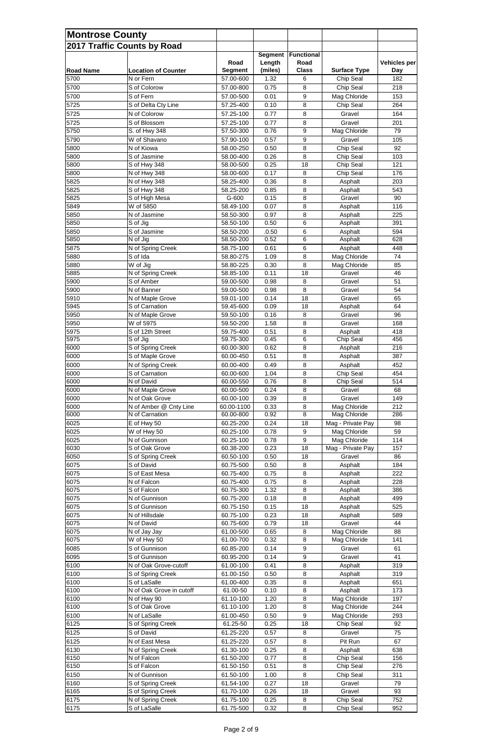| <b>Montrose County</b>             |                                          |                        |                |                   |                        |              |
|------------------------------------|------------------------------------------|------------------------|----------------|-------------------|------------------------|--------------|
| <b>2017 Traffic Counts by Road</b> |                                          |                        | <b>Segment</b> | <b>Functional</b> |                        |              |
|                                    |                                          | Road                   | Length         | Road              |                        | Vehicles per |
| <b>Road Name</b>                   | <b>Location of Counter</b>               | <b>Segment</b>         | (miles)        | <b>Class</b>      | <b>Surface Type</b>    | <b>Day</b>   |
| 5700                               | N or Fern                                | 57.00-600              | 1.32           | 6                 | Chip Seal              | 182          |
| 5700                               | S of Colorow                             | 57.00-800              | 0.75           | 8                 | Chip Seal              | 218          |
| 5700                               | S of Fern                                | 57.00-500              | 0.01           | 9                 | Mag Chloride           | 153          |
| 5725                               | S of Delta Cty Line                      | 57.25-400              | 0.10           | 8                 | Chip Seal              | 264          |
| 5725                               | N of Colorow                             | 57.25-100              | 0.77           | 8                 | Gravel                 | 164          |
| 5725<br>5750                       | S of Blossom                             | 57.25-100<br>57.50-300 | 0.77<br>0.76   | 8<br>9            | Gravel<br>Mag Chloride | 201<br>79    |
| 5790                               | S. of Hwy 348<br>W of Shavano            | 57.90-100              | 0.57           | 9                 | Gravel                 | 105          |
| 5800                               | N of Kiowa                               | 58.00-250              | 0.50           | 8                 | Chip Seal              | 92           |
| 5800                               | S of Jasmine                             | 58.00-400              | 0.26           | 8                 | Chip Seal              | 103          |
| 5800                               | S of Hwy 348                             | 58.00-500              | 0.25           | 18                | Chip Seal              | 121          |
| 5800                               | N of Hwy 348                             | 58.00-600              | 0.17           | 8                 | Chip Seal              | 176          |
| 5825                               | N of Hwy 348                             | 58.25-400              | 0.36           | 8                 | Asphalt                | 203          |
| 5825                               | S of Hwy 348                             | 58.25-200              | 0.85           | 8                 | Asphalt                | 543          |
| 5825                               | S of High Mesa                           | G-600                  | 0.15           | 8                 | Gravel                 | 90           |
| 5849                               | W of 5850                                | 58.49-100              | 0.07           | 8                 | Asphalt                | 116          |
| 5850<br>5850                       | N of Jasmine<br>S of Jig                 | 58.50-300<br>58.50-100 | 0.97<br>0.50   | 8<br>6            | Asphalt<br>Asphalt     | 225<br>391   |
| 5850                               | S of Jasmine                             | 58.50-200              | .0.50          | 6                 | Asphalt                | 594          |
| 5850                               | N of Jig                                 | 58.50-200              | 0.52           | 6                 | Asphalt                | 628          |
| 5875                               | N of Spring Creek                        | 58.75-100              | 0.61           | 6                 | Asphalt                | 448          |
| 5880                               | S of Ida                                 | 58.80-275              | 1.09           | 8                 | Mag Chloride           | 74           |
| 5880                               | W of Jig                                 | 58.80-225              | 0.30           | 8                 | Mag Chloride           | 85           |
| 5885                               | N of Spring Creek                        | 58.85-100              | 0.11           | 18                | Gravel                 | 46           |
| 5900                               | S of Amber                               | 59.00-500              | 0.98           | 8                 | Gravel                 | 51           |
| 5900                               | N of Banner                              | 59.00-500              | 0.98           | 8                 | Gravel                 | 54           |
| 5910                               | N of Maple Grove<br>S of Carnation       | 59.01-100              | 0.14           | 18<br>18          | Gravel                 | 65<br>64     |
| 5945<br>5950                       | N of Maple Grove                         | 59.45-600<br>59.50-100 | 0.09<br>0.16   | 8                 | Asphalt<br>Gravel      | 96           |
| 5950                               | W of 5975                                | 59.50-200              | 1.58           | 8                 | Gravel                 | 168          |
| 5975                               | S of 12th Street                         | 59.75-400              | 0.51           | 8                 | Asphalt                | 418          |
| 5975                               | S of Jig                                 | 59.75-300              | 0.45           | 6                 | Chip Seal              | 456          |
| 6000                               | S of Spring Creek                        | 60.00-300              | 0.62           | 8                 | Asphalt                | 216          |
| 6000                               | S of Maple Grove                         | 60.00-450              | 0.51           | 8                 | Asphalt                | 387          |
| 6000                               | N of Spring Creek                        | 60.00-400              | 0.49           | 8                 | Asphalt                | 452          |
| 6000                               | S of Carnation                           | 60.00-600              | 1.04           | 8                 | Chip Seal              | 454          |
| 6000                               | N of David                               | 60.00-550              | 0.76           | 8                 | Chip Seal              | 514          |
| 6000<br>6000                       | N of Maple Grove<br>N of Oak Grove       | 60.00-500<br>60.00-100 | 0.24<br>0.39   | 8<br>8            | Gravel<br>Gravel       | 68<br>149    |
| 6000                               | N of Amber @ Cnty Line                   | 60.00-1100             | 0.33           | 8                 | Mag Chloride           | 212          |
| 6000                               | N of Carnation                           | 60.00-800              | 0.92           | 8                 | Mag Chloride           | 286          |
| 6025                               | E of Hwy 50                              | 60.25-200              | 0.24           | 18                | Mag - Private Pay      | 98           |
| 6025                               | W of Hwy 50                              | 60.25-100              | 0.78           | 9                 | Mag Chloride           | 59           |
| 6025                               | N of Gunnison                            | 60.25-100              | 0.78           | 9                 | Mag Chloride           | 114          |
| 6030                               | S of Oak Grove                           | 60.38-200              | 0.23           | 18                | Mag - Private Pay      | 157          |
| 6050                               | S of Spring Creek                        | 60.50-100              | 0.50           | 18                | Gravel                 | 86           |
| 6075                               | S of David                               | 60.75-500              | 0.50           | 8                 | Asphalt                | 184          |
| 6075                               | S of East Mesa                           | 60.75-400              | 0.75           | 8                 | Asphalt                | 222          |
| 6075<br>6075                       | N of Falcon<br>S of Falcon               | 60.75-400              | 0.75<br>1.32   | 8                 | Asphalt                | 228<br>386   |
| 6075                               | N of Gunnison                            | 60.75-300<br>60.75-200 | 0.18           | 8<br>8            | Asphalt<br>Asphalt     | 499          |
| 6075                               | S of Gunnison                            | 60.75-150              | 0.15           | 18                | Asphalt                | 525          |
| 6075                               | N of Hillsdale                           | 60.75-100              | 0.23           | 18                | Asphalt                | 589          |
| 6075                               | N of David                               | 60.75-600              | 0.79           | 18                | Gravel                 | 44           |
| 6075                               | N of Jay Jay                             | 61.00-500              | 0.65           | 8                 | Mag Chloride           | 88           |
| 6075                               | $\overline{W}$ of Hwy 50                 | 61.00-700              | 0.32           | 8                 | Mag Chloride           | 141          |
| 6085                               | S of Gunnison                            | 60.85-200              | 0.14           | 9                 | Gravel                 | 61           |
| 6095                               | S of Gunnison                            | 60.95-200              | 0.14           | 9                 | Gravel                 | 41           |
| 6100                               | N of Oak Grove-cutoff                    | 61.00-100              | 0.41           | 8                 | Asphalt                | 319          |
| 6100                               | S of Spring Creek                        | 61.00-150              | 0.50           | $\bf 8$           | Asphalt                | 319          |
| 6100<br>6100                       | S of LaSalle<br>N of Oak Grove in cutoff | 61.00-400<br>61.00-50  | 0.35<br>0.10   | 8<br>8            | Asphalt<br>Asphalt     | 651<br>173   |
| 6100                               | N of Hwy 90                              | 61.10-100              | 1.20           | 8                 | Mag Chloride           | 197          |
| 6100                               | S of Oak Grove                           | 61.10-100              | 1.20           | 8                 | Mag Chloride           | 244          |
| 6100                               | N of LaSalle                             | 61.00-450              | 0.50           | 9                 | Mag Chloride           | 293          |
| 6125                               | S of Spring Creek                        | 61.25-50               | 0.25           | 18                | Chip Seal              | 92           |
| 6125                               | S of David                               | 61.25-220              | 0.57           | 8                 | Gravel                 | 75           |
| 6125                               | N of East Mesa                           | 61.25-220              | 0.57           | 8                 | Pit Run                | 67           |
| 6130                               | N of Spring Creek                        | 61.30-100              | 0.25           | 8                 | Asphalt                | 638          |
| 6150                               | N of Falcon                              | 61.50-200              | 0.77           | 8                 | Chip Seal              | 156          |
| 6150                               | S of Falcon                              | 61.50-150              | 0.51           | 8                 | Chip Seal              | 276          |
| 6150                               | N of Gunnison                            | 61.50-100              | 1.00           | 8                 | Chip Seal              | 311          |
| 6160<br>6165                       | S of Spring Creek<br>S of Spring Creek   | 61.54-100<br>61.70-100 | 0.27<br>0.26   | 18<br>18          | Gravel<br>Gravel       | 79<br>93     |
| 6175                               | N of Spring Creek                        | 61.75-100              | 0.25           | 8                 | Chip Seal              | 752          |
| 6175                               | S of LaSalle                             | 61.75-500              | 0.32           | 8                 | Chip Seal              | 952          |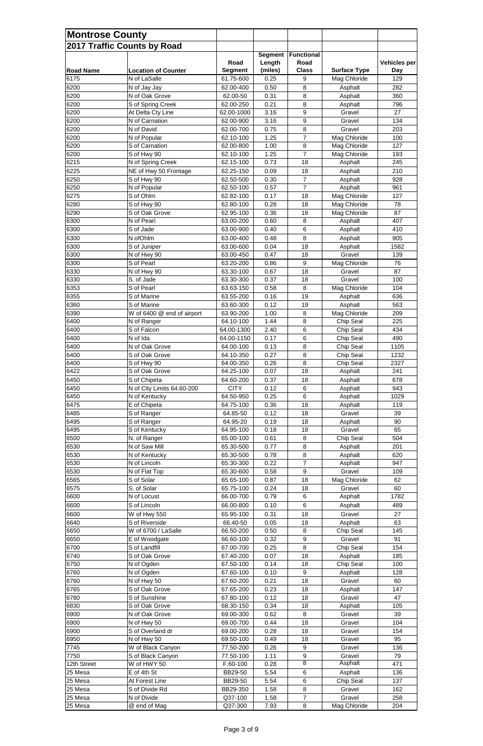| <b>Montrose County</b> |                                  |                        |                |                 |                         |                     |
|------------------------|----------------------------------|------------------------|----------------|-----------------|-------------------------|---------------------|
|                        | 2017 Traffic Counts by Road      |                        |                |                 |                         |                     |
|                        |                                  |                        | <b>Segment</b> | Functional      |                         |                     |
|                        |                                  | Road                   | Length         | Road            |                         | <b>Vehicles per</b> |
| <b>Road Name</b>       | <b>Location of Counter</b>       | <b>Segment</b>         | (miles)        | <b>Class</b>    | <b>Surface Type</b>     | <b>Day</b>          |
| 6175                   | N of LaSalle                     | 61.75-600              | 0.25           | 9               | Mag Chloride            | 129                 |
| 6200<br>6200           | N of Jay Jay<br>N of Oak Grove   | 62.00-400<br>62.00-50  | 0.50<br>0.31   | 8<br>8          | Asphalt<br>Asphalt      | 282<br>360          |
| 6200                   | S of Spring Creek                | 62.00-250              | 0.21           | 8               | Asphalt                 | 796                 |
| 6200                   | At Delta Cty Line                | 62.00-1000             | 3.16           | 9               | Gravel                  | 27                  |
| 6200                   | N of Carnation                   | 62.00-900              | 3.16           | 9               | Gravel                  | 134                 |
| 6200                   | N of David                       | 62.00-700              | 0.75           | 8               | Gravel                  | 203                 |
| 6200                   | N of Popular                     | 62.10-100              | 1.25           | 7               | Mag Chloride            | 100                 |
| 6200                   | S of Carnation                   | 62.00-800              | 1.00           | 8               | Mag Chloride            | 127                 |
| 6200<br>6215           | S of Hwy 90<br>N of Spring Creek | 62.10-100<br>62.15-100 | 1.25<br>0.73   | 7<br>18         | Mag Chloride<br>Asphalt | 193<br>245          |
| 6225                   | NE of Hwy 50 Frontage            | 62.25-150              | 0.09           | 18              | Asphalt                 | 210                 |
| 6250                   | S of Hwy 90                      | 62.50-500              | 0.30           | $\overline{7}$  | Asphalt                 | 928                 |
| 6250                   | N of Popular                     | 62.50-100              | 0.57           | $\overline{7}$  | Asphalt                 | 961                 |
| 6275                   | S of Ohlm                        | 62.82-100              | 0.17           | 18              | Mag Chloride            | 127                 |
| 6280                   | S of Hwy 90                      | 62.80-100              | 0.28           | 18              | Mag Chloride            | 78                  |
| 6290                   | S of Oak Grove                   | 62.95-100              | 0.36           | 18              | Mag Chloride            | 87                  |
| 6300                   | N of Pearl                       | 63.00-200              | 0.60           | 8               | Asphalt                 | 407                 |
| 6300                   | S of Jade                        | 63.00-900              | 0.40           | 6               | Asphalt                 | 410                 |
| 6300                   | N of Ohlm                        | 63.00-400              | 0.48           | 8               | Asphalt                 | 905                 |
| 6300<br>6300           | S of Juniper                     | 63.00-600              | 0.04           | 18<br>18        | Asphalt<br>Gravel       | 1582<br>139         |
| 6300                   | N of Hwy 90<br>S of Pearl        | 63.00-450<br>63.20-200 | 0.47<br>0.86   | 9               | Mag Chloride            | 76                  |
| 6330                   | N of Hwy 90                      | 63.30-100              | 0.67           | 18              | Gravel                  | 87                  |
| 6330                   | S. of Jade                       | 63.30-300              | 0.37           | 18              | Gravel                  | 100                 |
| 6353                   | S of Pearl                       | 63.63-150              | 0.58           | 8               | Mag Chloride            | 104                 |
| 6355                   | S of Marine                      | 63.55-200              | 0.16           | 19              | Asphalt                 | 636                 |
| 6360                   | S of Marine                      | 63.60-300              | 0.12           | 19              | Asphalt                 | 563                 |
| 6390                   | W of 6400 @ end of airport       | 63.90-200              | 1.00           | 8               | Mag Chloride            | 209                 |
| 6400                   | N of Ranger                      | 64.10-100              | 1.44           | 8               | Chip Seal               | 225                 |
| 6400                   | S of Falcon                      | 64.00-1300             | 2.40           | 6               | Chip Seal               | 434                 |
| 6400                   | N of Ida                         | 64.00-1150             | 0.17           | $6\phantom{1}6$ | Chip Seal               | 490                 |
| 6400<br>6400           | N of Oak Grove                   | 64.00-100              | 0.13           | 8<br>8          | Chip Seal               | 1105<br>1232        |
| 6400                   | S of Oak Grove<br>S of Hwy 90    | 64.10-350<br>64.00-350 | 0.27<br>0.26   | 8               | Chip Seal<br>Chip Seal  | 2327                |
| 6422                   | S of Oak Grove                   | 64.25-100              | 0.07           | 18              | Asphalt                 | 241                 |
| 6450                   | S of Chipeta                     | 64.60-200              | 0.37           | 18              | Asphalt                 | 678                 |
| 6450                   | N of City Limits 64.60-200       | <b>CITY</b>            | 0.12           | 6               | Asphalt                 | 943                 |
| 6450                   | N of Kentucky                    | 64.50-950              | 0.25           | 6               | Asphalt                 | 1029                |
| 6475                   | E of Chipeta                     | 64.75-100              | 0.36           | 18              | Asphalt                 | 119                 |
| 6485                   | S of Ranger                      | 64.85-50               | 0.12           | 18              | Gravel                  | 39                  |
| 6495                   | S of Ranger                      | 64.95-20               | 0.19           | 18              | Asphalt                 | 90                  |
| 6495                   | S of Kentucky                    | 64.95-100              | 0.18           | 18              | Gravel                  | 65                  |
| 6500                   | N. of Ranger                     | 65.00-100              | 0.61           | 8               | Chip Seal               | 504                 |
| 6530<br>6530           | N of Saw Mill<br>N of Kentucky   | 65.30-500<br>65.30-500 | 0.77<br>0.78   | 8<br>8          | Asphalt<br>Asphalt      | 201<br>620          |
| 6530                   | N of Lincoln                     | 65.30-300              | 0.22           | $\overline{7}$  | Asphalt                 | 947                 |
| 6530                   | N of Flat Top                    | 65.30-600              | 0.58           | 9               | Gravel                  | 109                 |
| 6565                   | S of Solar                       | 65.65-100              | 0.87           | 18              | Mag Chloride            | 62                  |
| 6575                   | S. of Solar                      | 65.75-100              | 0.24           | 18              | Gravel                  | 60                  |
| 6600                   | N of Locust                      | 66.00-700              | 0.79           | 6               | Asphalt                 | 1782                |
| 6600                   | S of Lincoln                     | 66.00-800              | 0.10           | 6               | Asphalt                 | 489                 |
| 6600                   | W of Hwy 550                     | 65.95-100              | 0.31           | 18              | Gravel                  | 27                  |
| 6640                   | S of Riverside                   | 66.40-50               | 0.05           | 18              | Asphalt                 | 63                  |
| 6650                   | W of 6700 / LaSalle              | 66.50-200              | 0.50           | 8               | Chip Seal               | 145                 |
| 6650<br>6700           | E of Woodgate<br>S of Landfill   | 66.60-100<br>67.00-700 | 0.32<br>0.25   | 9<br>8          | Gravel<br>Chip Seal     | 91<br>154           |
| 6740                   | S of Oak Grove                   | 67.40-200              | 0.07           | 18              | Asphalt                 | 185                 |
| 6750                   | N of Ogden                       | 67.50-100              | 0.14           | 18              | Chip Seal               | 100                 |
| 6760                   | N of Ogden                       | 67.60-100              | 0.10           | 9               | Asphalt                 | 128                 |
| 6760                   | N of Hwy 50                      | 67.60-200              | 0.21           | 18              | Gravel                  | 60                  |
| 6765                   | S of Oak Grove                   | 67.65-200              | 0.23           | 18              | Asphalt                 | 147                 |
| 6780                   | S of Sunshine                    | 67.80-100              | 0.12           | 18              | Gravel                  | 47                  |
| 6830                   | S of Oak Grove                   | 68.30-150              | 0.34           | 18              | Asphalt                 | 105                 |
| 6900                   | N of Oak Grove                   | 69.00-300              | 0.62           | 8               | Gravel                  | 39                  |
| 6900                   | N of Hwy 50                      | 69.00-700              | 0.44           | 18              | Gravel                  | 104                 |
| 6900                   | S of Overland dr<br>N of Hwy 50  | 69.00-200              | 0.28           | 18              | Gravel                  | 154<br>95           |
| 6950<br>7745           | W of Black Canyon                | 69.50-100<br>77.50-200 | 0.49<br>0.26   | 18<br>9         | Gravel<br>Gravel        | 136                 |
| 7750                   | S of Black Canyon                | 77.50-100              | 1.11           | 9               | Gravel                  | 79                  |
| 12th Street            | W of HWY 50                      | F.60-100               | 0.28           | $\overline{8}$  | Asphalt                 | 471                 |
| 25 Mesa                | E of 4th St                      | BB29-50                | 5.54           | 6               | Asphalt                 | 136                 |
| 25 Mesa                | At Forest Line                   | BB29-50                | 5.54           | 6               | Chip Seal               | 137                 |
| 25 Mesa                | S of Divide Rd                   | BB29-350               | 1.58           | $\, 8$          | Gravel                  | 162                 |
| 25 Mesa                | N of Divide                      | Q37-100                | 1.58           | $\overline{7}$  | Gravel                  | 258                 |
| 25 Mesa                | @ end of Mag                     | Q37-300                | 7.93           | 8               | Mag Chloride            | 204                 |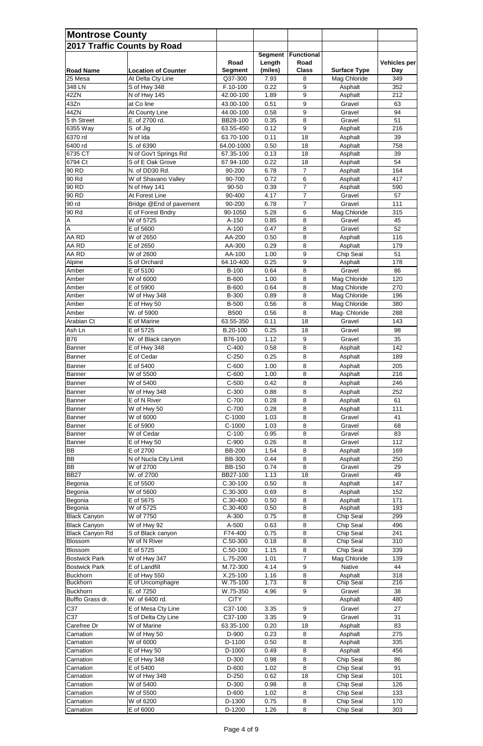| <b>Montrose County</b>                     | 2017 Traffic Counts by Road         |                        |                   |                           |                              |              |
|--------------------------------------------|-------------------------------------|------------------------|-------------------|---------------------------|------------------------------|--------------|
|                                            |                                     | Road                   | Segment<br>Length | <b>Functional</b><br>Road |                              | Vehicles per |
| <b>Road Name</b>                           | <b>Location of Counter</b>          | <b>Segment</b>         | (miles)           | <b>Class</b>              | <b>Surface Type</b>          | <b>Day</b>   |
| 25 Mesa                                    | At Delta Cty Line                   | Q37-300                | 7.93              | 8                         | Mag Chloride                 | 349          |
| 348 LN                                     | S of Hwy 348                        | F.10-100               | 0.22              | 9                         | Asphalt                      | 352          |
| 42ZN                                       | N of Hwy 145                        | 42.00-100              | 1.89              | 9                         | Asphalt                      | 212          |
| 43Zn<br>44ZN                               | at Co line<br>At County Line        | 43.00-100<br>44.00-100 | 0.51<br>0.58      | 9<br>9                    | Gravel<br>Gravel             | 63<br>94     |
| 5 th Street                                | E. of 2700 rd.                      | BB28-100               | 0.35              | 8                         | Gravel                       | 51           |
| 6355 Way                                   | S of Jig                            | 63.55-450              | 0.12              | 9                         | Asphalt                      | 216          |
| 6370 rd                                    | N of Ida                            | 63.70-100              | 0.11              | 18                        | Asphalt                      | 39           |
| 6400 rd                                    | S. of 6390                          | 64.00-1000             | 0.50              | 18                        | Asphalt                      | 758          |
| 6735 CT                                    | N of Gov't Springs Rd               | 67.35-100              | 0.13              | 18                        | Asphalt                      | 39           |
| 6794 Ct                                    | S of E Oak Grove                    | 67.94-100              | 0.22              | 18                        | Asphalt                      | 54           |
| 90 RD                                      | N. of DD30 Rd.                      | 90-200                 | 6.78              | $\overline{7}$            | Asphalt                      | 164          |
| 90 Rd<br>90 RD                             | W of Shavano Valley<br>N of Hwy 141 | 90-700<br>90-50        | 0.72<br>0.39      | 6<br>$\overline{7}$       | Asphalt<br>Asphalt           | 417<br>590   |
| 90 RD                                      | At Forest Line                      | 90-400                 | 4.17              | $\overline{7}$            | Gravel                       | 57           |
| 90 rd                                      | Bridge @End of pavement             | 90-200                 | 6.78              | $\overline{7}$            | Gravel                       | 111          |
| 90 Rd                                      | E of Forest Bndry                   | 90-1050                | 5.28              | 6                         | Mag Chloride                 | 315          |
| $\overline{A}$                             | W of 5725                           | A-150                  | 0.85              | 8                         | Gravel                       | 45           |
| $\overline{A}$                             | E of 5600                           | A-100                  | 0.47              | 8                         | Gravel                       | 52           |
| AA RD                                      | W of 2650                           | AA-200                 | 0.50              | 8                         | Asphalt                      | 116          |
| AA RD                                      | E of 2650                           | AA-300                 | 0.29              | 8                         | Asphalt                      | 179          |
| AA RD                                      | W of 2600                           | AA-100                 | 1.00              | $\boldsymbol{9}$          | Chip Seal                    | 51           |
| Alpine                                     | S of Orchard                        | 64.10-400              | 0.25              | 9                         | Asphalt                      | 178          |
| Amber                                      | E of 5100                           | B-100                  | 0.64              | 8                         | Gravel                       | 86           |
| Amber<br>Amber                             | W of 6000<br>E of 5900              | B-600<br>B-600         | 1.00<br>0.64      | 8<br>8                    | Mag Chloride<br>Mag Chloride | 120<br>270   |
| Amber                                      | W of Hwy 348                        | B-300                  | 0.89              | 8                         | Mag Chloride                 | 196          |
| Amber                                      | E of Hwy 50                         | <b>B-500</b>           | 0.56              | 8                         | Mag Chloride                 | 380          |
| Amber                                      | W. of 5900                          | <b>B500</b>            | 0.56              | 8                         | Mag- Chloride                | 288          |
| Arabian Ct                                 | E of Marine                         | 63.55-350              | 0.11              | 18                        | Gravel                       | 143          |
| Ash Ln                                     | E of 5725                           | B.20-100               | 0.25              | 18                        | Gravel                       | 98           |
| <b>B76</b>                                 | W. of Black canyon                  | B76-100                | 1.12              | 9                         | Gravel                       | 35           |
| Banner                                     | E of Hwy 348                        | $C-400$                | 0.58              | 8                         | Asphalt                      | 142          |
| Banner                                     | E of Cedar                          | $C-250$                | 0.25              | 8                         | Asphalt                      | 189          |
| Banner                                     | E of 5400                           | $C-600$                | 1.00              | 8                         | Asphalt                      | 205          |
| <b>Banner</b>                              | W of 5500                           | $C-600$                | 1.00              | 8                         | Asphalt                      | 216          |
| <b>Banner</b>                              | W of 5400                           | $C-500$                | 0.42              | 8                         | Asphalt                      | 246          |
| Banner                                     | W of Hwy 348                        | $C-300$                | 0.88              | 8                         | Asphalt                      | 252          |
| <b>Banner</b>                              | E of N River                        | C-700                  | 0.28              | 8                         | Asphalt                      | 61           |
| Banner                                     | W of Hwy 50                         | C-700                  | 0.28              | 8                         | Asphalt                      | 111          |
| Banner                                     | W of 6000                           | $C-1000$               | 1.03              | 8                         | Gravel                       | 41           |
| <b>Banner</b><br><b>Banner</b>             | E of 5900<br>W of Cedar             | $C-1000$<br>$C-100$    | 1.03<br>0.95      | 8<br>8                    | Gravel<br>Gravel             | 68<br>83     |
| Banner                                     | E of Hwy 50                         | C-900                  | 0.26              | 8                         | Gravel                       | 112          |
| BB                                         | E of 2700                           | <b>BB-200</b>          | 1.54              | 8                         | Asphalt                      | 169          |
| <b>BB</b>                                  | N of Nucla City Limit               | <b>BB-300</b>          | 0.44              | 8                         | Asphalt                      | 250          |
| <b>BB</b>                                  | W of 2700                           | <b>BB-150</b>          | 0.74              | 8                         | Gravel                       | 29           |
| <b>BB27</b>                                | W. of 2700                          | BB27-100               | 1.13              | 18                        | Gravel                       | 49           |
| Begonia                                    | E of 5500                           | $C.30-100$             | 0.50              | 8                         | Asphalt                      | 147          |
| Begonia                                    | W of 5600                           | C.30-300               | 0.69              | 8                         | Asphalt                      | 152          |
| Begonia                                    | E of 5675                           | C.30-400               | 0.50              | 8                         | Asphalt                      | 171          |
| Begonia                                    | W of 5725<br>W of 7750              | C.30-400<br>A-300      | 0.50<br>0.75      | 8<br>8                    | Asphalt<br>Chip Seal         | 193<br>299   |
| <b>Black Canyon</b><br><b>Black Canyon</b> | W of Hwy 92                         | A-500                  | 0.63              | 8                         | Chip Seal                    | 496          |
| <b>Black Canyon Rd</b>                     | S of Black canyon                   | F74-400                | 0.75              | 8                         | Chip Seal                    | 241          |
| Blossom                                    | W of N River                        | C.50-300               | 0.18              | 8                         | Chip Seal                    | 310          |
| Blossom                                    | E of 5725                           | $C.50-100$             | 1.15              | 8                         | Chip Seal                    | 339          |
| <b>Bostwick Park</b>                       | W of Hwy 347                        | L.75-200               | 1.01              | $\overline{7}$            | Mag Chloride                 | 139          |
| <b>Bostwick Park</b>                       | E of Landfill                       | M.72-300               | 4.14              | $\boldsymbol{9}$          | <b>Native</b>                | 44           |
| <b>Buckhorn</b>                            | E of Hwy 550                        | $X.25-100$             | 1.16              | 8                         | Asphalt                      | 318          |
| <b>Buckhorn</b>                            | E of Uncomphagre                    | W.75-100               | 1.73              | 8                         | Chip Seal                    | 216          |
| <b>Buckhorn</b>                            | E. of 7250                          | W.75-350               | 4.96              | $\boldsymbol{9}$          | Gravel                       | 38           |
| Bufflo Grass dr.                           | W. of 6400 rd.                      | <b>CiTY</b>            |                   |                           | Asphalt                      | 480          |
| C37                                        | E of Mesa Cty Line                  | C37-100                | 3.35              | 9                         | Gravel                       | 27           |
| C37<br>Carefree Dr                         | S of Delta Cty Line<br>W of Marine  | C37-100<br>63.35-100   | 3.35<br>0.20      | $\boldsymbol{9}$<br>18    | Gravel<br>Asphalt            | 31<br>83     |
| Carnation                                  | W of Hwy 50                         | D-900                  | 0.23              | 8                         | Asphalt                      | 275          |
| Carnation                                  | W of 6000                           | D-1100                 | 0.50              | $\,8\,$                   | Asphalt                      | 335          |
| Carnation                                  | E of Hwy 50                         | D-1000                 | 0.49              | 8                         | Asphalt                      | 456          |
| Carnation                                  | E of Hwy 348                        | D-300                  | 0.98              | 8                         | Chip Seal                    | 86           |
| Carnation                                  | E of 5400                           | D-600                  | 1.02              | 8                         | Chip Seal                    | 91           |
| Carnation                                  | W of Hwy 348                        | D-250                  | 0.62              | 18                        | Chip Seal                    | 101          |
| Carnation                                  | W of 5400                           | D-300                  | 0.98              | 8                         | Chip Seal                    | 126          |
| Carnation                                  | W of 5500                           | D-600                  | 1.02              | 8                         | Chip Seal                    | 133          |
| Carnation                                  | W of 6200                           | D-1300                 | 0.75              | $\,8\,$                   | Chip Seal                    | 170          |
| Carnation                                  | E of 6000                           | D-1200                 | 1.26              | 8                         | Chip Seal                    | 303          |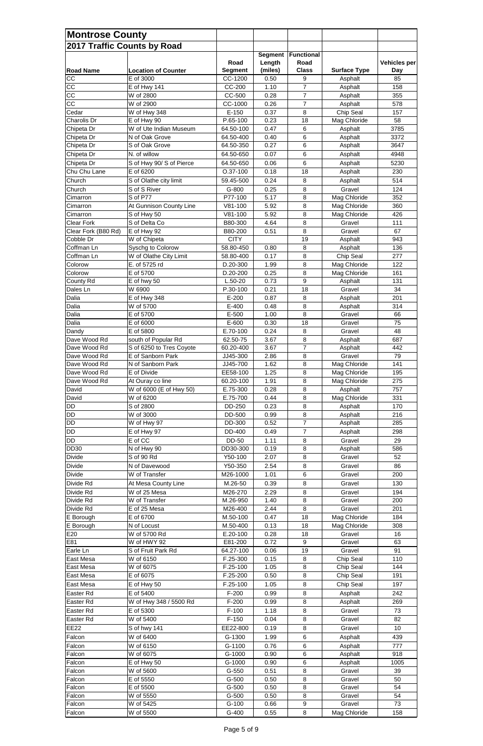| <b>Montrose County</b>             |                                                 |                         |                   |                      |                              |                     |  |  |
|------------------------------------|-------------------------------------------------|-------------------------|-------------------|----------------------|------------------------------|---------------------|--|--|
| <b>2017 Traffic Counts by Road</b> |                                                 |                         |                   |                      |                              |                     |  |  |
|                                    |                                                 |                         | <b>Segment</b>    | <b>Functional</b>    |                              |                     |  |  |
| <b>Road Name</b>                   | <b>Location of Counter</b>                      | Road<br><b>Segment</b>  | Length<br>(miles) | Road<br><b>Class</b> | <b>Surface Type</b>          | Vehicles per<br>Day |  |  |
| CC                                 | E of 3000                                       | CC-1200                 | 0.50              | 9                    | Asphalt                      | 85                  |  |  |
| CC                                 | E of Hwy 141                                    | CC-200                  | 1.10              | $\overline{7}$       | Asphalt                      | 158                 |  |  |
| CC                                 | W of 2800                                       | CC-500                  | 0.28              | $\overline{7}$       | Asphalt                      | 355                 |  |  |
| <b>CC</b>                          | W of 2900                                       | CC-1000                 | 0.26              | $\overline{7}$       | Asphalt                      | 578                 |  |  |
| Cedar                              | W of Hwy 348                                    | $E-150$                 | 0.37              | 8                    | Chip Seal                    | 157                 |  |  |
| Charolis Dr<br>Chipeta Dr          | E of Hwy 90<br>W of Ute Indian Museum           | P.65-100<br>64.50-100   | 0.23<br>0.47      | 18<br>6              | Mag Chloride<br>Asphalt      | 58<br>3785          |  |  |
| Chipeta Dr                         | N of Oak Grove                                  | 64.50-400               | 0.40              | 6                    | Asphalt                      | 3372                |  |  |
| Chipeta Dr                         | S of Oak Grove                                  | 64.50-350               | 0.27              | 6                    | Asphalt                      | 3647                |  |  |
| Chipeta Dr                         | N. of willow                                    | 64.50-650               | 0.07              | 6                    | Asphalt                      | 4948                |  |  |
| Chipeta Dr                         | S of Hwy 90/ S of Pierce                        | 64.50-650               | 0.06              | 6                    | Asphalt                      | 5230                |  |  |
| Chu Chu Lane                       | E of 6200                                       | $O.37-100$              | 0.18              | 18                   | Asphalt                      | 230                 |  |  |
| Church                             | S of Olathe city limit                          | 59.45-500               | 0.24              | 8                    | Asphalt                      | 514                 |  |  |
| Church                             | S of S River                                    | G-800                   | 0.25              | 8                    | Gravel                       | 124                 |  |  |
| Cimarron                           | S of P77                                        | P77-100<br>$V81-100$    | 5.17<br>5.92      | 8                    | Mag Chloride                 | 352<br>360          |  |  |
| Cimarron<br>Cimarron               | At Gunnison County Line<br>S of Hwy 50          | $V81-100$               | 5.92              | 8<br>8               | Mag Chloride<br>Mag Chloride | 426                 |  |  |
| <b>Clear Fork</b>                  | S of Delta Co                                   | B80-300                 | 4.64              | 8                    | Gravel                       | 111                 |  |  |
| Clear Fork (B80 Rd)                | E of Hwy 92                                     | B80-200                 | 0.51              | 8                    | Gravel                       | 67                  |  |  |
| Cobble Dr                          | W of Chipeta                                    | <b>CITY</b>             |                   | 19                   | Asphalt                      | 943                 |  |  |
| Coffman Ln                         | Syschg to Colorow                               | 58.80-450               | 0.80              | 8                    | Asphalt                      | 136                 |  |  |
| Coffman Ln                         | W of Olathe City Limit                          | 58.80-400               | 0.17              | 8                    | Chip Seal                    | 277                 |  |  |
| Colorow                            | E. of 5725 rd                                   | D.20-300                | 1.99              | 8                    | Mag Chloride                 | 122                 |  |  |
| Colorow<br>County Rd               | E of 5700<br>E of hwy 50                        | D.20-200<br>$L.50-20$   | 0.25<br>0.73      | 8<br>9               | Mag Chloride<br>Asphalt      | 161<br>131          |  |  |
| Dales Ln                           | W 6900                                          | P.30-100                | 0.21              | 18                   | Gravel                       | 34                  |  |  |
| Dalia                              | E of Hwy 348                                    | $E-200$                 | 0.87              | 8                    | Asphalt                      | 201                 |  |  |
| Dalia                              | W of 5700                                       | E-400                   | 0.48              | 8                    | Asphalt                      | 314                 |  |  |
| Dalia                              | E of 5700                                       | E-500                   | 1.00              | 8                    | Gravel                       | 66                  |  |  |
| Dalia                              | E of 6000                                       | E-600                   | 0.30              | 18                   | Gravel                       | 75                  |  |  |
| Dandy                              | E of 5800                                       | E.70-100                | 0.24              | 8                    | Gravel                       | 48                  |  |  |
| Dave Wood Rd<br>Dave Wood Rd       | south of Popular Rd<br>S of 6250 to Tres Coyote | 62.50-75                | 3.67<br>3.67      | 8<br>$\overline{7}$  | Asphalt<br>Asphalt           | 687<br>442          |  |  |
| Dave Wood Rd                       | E of Sanborn Park                               | 60.20-400<br>JJ45-300   | 2.86              | 8                    | Gravel                       | 79                  |  |  |
| Dave Wood Rd                       | N of Sanborn Park                               | JJ45-700                | 1.62              | 8                    | Mag Chloride                 | 141                 |  |  |
| Dave Wood Rd                       | E of Divide                                     | EE58-100                | 1.25              | 8                    | Mag Chloride                 | 195                 |  |  |
| Dave Wood Rd                       | At Ouray co line                                | 60.20-100               | 1.91              | 8                    | Mag Chloride                 | 275                 |  |  |
| David                              | W of 6000 (E of Hwy 50)                         | E.75-300                | 0.28              | 8                    | Asphalt                      | 757                 |  |  |
| David                              | W of 6200                                       | E.75-700                | 0.44              | 8                    | Mag Chloride                 | 331                 |  |  |
| DD<br>DD                           | S of 2800<br>W of 3000                          | <b>DD-250</b>           | 0.23              | 8<br>8               | Asphalt                      | 170                 |  |  |
| DD                                 | W of Hwy 97                                     | <b>DD-500</b><br>DD-300 | 0.99<br>0.52      | $\overline{7}$       | Asphalt<br>Asphalt           | 216<br>285          |  |  |
| <b>DD</b>                          | E of Hwy 97                                     | DD-400                  | 0.49              | $\overline{7}$       | Asphalt                      | 298                 |  |  |
| <b>DD</b>                          | E of CC                                         | DD-50                   | 1.11              | 8                    | Gravel                       | 29                  |  |  |
| <b>DD30</b>                        | N of Hwy 90                                     | DD30-300                | 0.19              | 8                    | Asphalt                      | 586                 |  |  |
| Divide                             | S of 90 Rd                                      | Y50-100                 | 2.07              | 8                    | Gravel                       | 52                  |  |  |
| Divide                             | N of Davewood                                   | Y50-350                 | 2.54              | 8                    | Gravel                       | 86                  |  |  |
| <b>Divide</b>                      | W of Transfer                                   | M26-1000                | 1.01              | 6                    | Gravel                       | 200                 |  |  |
| Divide Rd                          | At Mesa County Line                             | M.26-50                 | 0.39              | 8                    | Gravel                       | 130                 |  |  |
| Divide Rd                          | W of 25 Mesa                                    | M26-270                 | 2.29              | 8                    | Gravel                       | 194                 |  |  |
| Divide Rd<br>Divide Rd             | W of Transfer<br>E of 25 Mesa                   | M.26-950<br>M26-400     | 1.40<br>2.44      | 8<br>8               | Gravel<br>Gravel             | 200<br>201          |  |  |
| E Borough                          | E of 6700                                       | M.50-100                | 0.47              | 18                   | Mag Chloride                 | 184                 |  |  |
| E Borough                          | N of Locust                                     | M.50-400                | 0.13              | 18                   | Mag Chloride                 | 308                 |  |  |
| E20                                | W of 5700 Rd                                    | E.20-100                | 0.28              | 18                   | Gravel                       | 16                  |  |  |
| E81                                | W of HWY 92                                     | E81-200                 | 0.72              | 9                    | Gravel                       | 63                  |  |  |
| Earle Ln                           | S of Fruit Park Rd                              | 64.27-100               | 0.06              | 19                   | Gravel                       | 91                  |  |  |
| East Mesa                          | W of 6150                                       | F.25-300                | 0.15              | 8                    | Chip Seal                    | 110                 |  |  |
| East Mesa                          | W of 6075                                       | F.25-100                | 1.05              | 8                    | Chip Seal                    | 144                 |  |  |
| East Mesa<br>East Mesa             | E of 6075<br>E of Hwy 50                        | F.25-200<br>F.25-100    | 0.50<br>1.05      | 8<br>8               | Chip Seal<br>Chip Seal       | 191<br>197          |  |  |
| Easter Rd                          | E of 5400                                       | $F-200$                 | 0.99              | 8                    | Asphalt                      | 242                 |  |  |
| Easter Rd                          | W of Hwy 348 / 5500 Rd                          | $F-200$                 | 0.99              | 8                    | Asphalt                      | 269                 |  |  |
| Easter Rd                          | E of 5300                                       | $F-100$                 | 1.18              | 8                    | Gravel                       | 73                  |  |  |
| Easter Rd                          | W of 5400                                       | $F-150$                 | 0.04              | 8                    | Gravel                       | 82                  |  |  |
| <b>EE22</b>                        | S of hwy 141                                    | EE22-800                | 0.19              | 8                    | Gravel                       | 10                  |  |  |
| Falcon                             | W of 6400                                       | G-1300                  | 1.99              | 6                    | Asphalt                      | 439                 |  |  |
| Falcon                             | W of 6150                                       | G-1100                  | 0.76              | $\,6$                | Asphalt                      | 777                 |  |  |
| Falcon                             | W of 6075                                       | G-1000                  | 0.90              | 6                    | Asphalt                      | 918                 |  |  |
| Falcon                             | E of Hwy 50                                     | G-1000                  | 0.90              | 6                    | Asphalt                      | 1005                |  |  |
| Falcon                             | W of 5600                                       | $G-550$                 | 0.51              | $\bf 8$              | Gravel                       | 39                  |  |  |
| Falcon<br>Falcon                   | E of 5550<br>E of 5500                          | $G-500$<br>$G-500$      | 0.50<br>0.50      | 8<br>8               | Gravel<br>Gravel             | 50<br>54            |  |  |
| Falcon                             | W of 5550                                       | $G-500$                 | 0.50              | 8                    | Gravel                       | 54                  |  |  |
| Falcon                             | W of 5425                                       | $G-100$                 | 0.66              | $\boldsymbol{9}$     | Gravel                       | 73                  |  |  |
| Falcon                             | W of 5500                                       | G-400                   | 0.55              | 8                    | Mag Chloride                 | 158                 |  |  |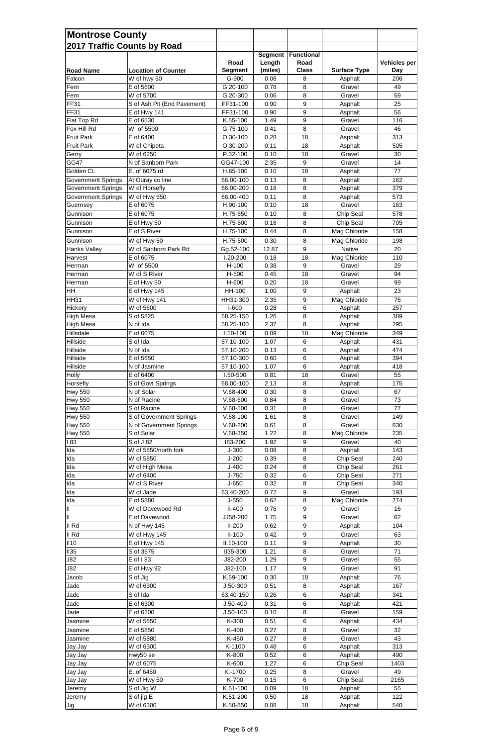| <b>Montrose County</b>           |                                        |                          |                |                       |                        |                     |  |
|----------------------------------|----------------------------------------|--------------------------|----------------|-----------------------|------------------------|---------------------|--|
| 2017 Traffic Counts by Road      |                                        |                          |                |                       |                        |                     |  |
|                                  |                                        |                          | <b>Segment</b> | <b>Functional</b>     |                        |                     |  |
|                                  |                                        | Road                     | Length         | Road                  |                        | <b>Vehicles per</b> |  |
| <b>Road Name</b>                 | <b>Location of Counter</b>             | <b>Segment</b>           | (miles)        | <b>Class</b>          | <b>Surface Type</b>    | <b>Day</b>          |  |
| Falcon<br>Fern                   | W of hwy 50<br>E of 5600               | G-900<br>G.20-100        | 0.08<br>0.78   | 8<br>8                | Asphalt<br>Gravel      | 206<br>49           |  |
| Fern                             | W of 5700                              | G.20-300                 | 0.06           | 8                     | Gravel                 | 59                  |  |
| <b>FF31</b>                      | S of Ash Pit (End Pavement)            | FF31-100                 | 0.90           | 9                     | Asphalt                | 25                  |  |
| <b>FF31</b>                      | E of Hwy 141                           | FF31-100                 | 0.90           | 9                     | Asphalt                | 56                  |  |
| Flat Top Rd                      | E of 6530                              | K.55-100                 | 1.49           | 9                     | Gravel                 | 116                 |  |
| Fox Hill Rd                      | W of 5500                              | G.75-100                 | 0.41           | 8                     | Gravel                 | 46                  |  |
| <b>Fruit Park</b>                | E of 6400                              | $O.30 - 100$             | 0.28           | 18                    | Asphalt                | 313                 |  |
| <b>Fruit Park</b>                | W of Chipeta<br>W of 6250              | $O.30 - 200$<br>P.32-100 | 0.11           | 18                    | Asphalt<br>Gravel      | 505                 |  |
| Gerry<br>GG47                    | N of Sanborn Park                      | GG47-100                 | 0.10<br>2.35   | 18<br>$9\,$           | Gravel                 | 30<br>14            |  |
| Golden Ct.                       | E. of 6075 rd                          | H.65-100                 | 0.10           | 18                    | Asphalt                | 77                  |  |
| <b>Government Springs</b>        | At Ouray co line                       | 66.00-100                | 0.13           | 8                     | Asphalt                | 162                 |  |
| <b>Government Springs</b>        | $\overline{W}$ of Horsefly             | 66.00-200                | 0.18           | 8                     | Asphalt                | 379                 |  |
| <b>Government Springs</b>        | W of Hwy 550                           | 66.00-400                | 0.11           | 8                     | Asphalt                | 573                 |  |
| Guernsey                         | E of 6075                              | H.90-100                 | 0.10           | 18                    | Gravel                 | 163                 |  |
| Gunnison                         | E of 6075                              | H.75-650                 | 0.10           | 8                     | Chip Seal              | 578                 |  |
| Gunnison                         | E of Hwy 50                            | H.75-600                 | 0.18           | 8                     | Chip Seal              | 705                 |  |
| Gunnison                         | E of S River                           | H.75-100                 | 0.44           | 8                     | Mag Chloride           | 158                 |  |
| Gunnison                         | W of Hwy 50                            | H.75-500                 | 0.30           | 8                     | Mag Chloride           | 198                 |  |
| Hanks Valley                     | W of Sanborn Park Rd                   | Gg.52-100                | 12.87          | 9                     | Native                 | 20                  |  |
| Harvest<br>Herman                | E of 6075<br>W of 5500                 | 1.20-200<br>$H-100$      | 0.18<br>0.38   | 18<br>9               | Mag Chloride<br>Gravel | 110<br>29           |  |
| Herman                           | W of S River                           | H-500                    | 0.45           | 18                    | Gravel                 | 94                  |  |
| Herman                           | E of Hwy 50                            | H-600                    | 0.20           | 18                    | Gravel                 | 99                  |  |
| <b>HH</b>                        | E of Hwy 145                           | HH-100                   | 1.00           | 9                     | Asphalt                | 23                  |  |
| <b>HH31</b>                      | W of Hwy 141                           | HH31-300                 | 2.35           | 9                     | Mag Chloride           | 76                  |  |
| Hickory                          | W of 5600                              | $I-600$                  | 0.28           | $6\phantom{1}$        | Asphalt                | 257                 |  |
| <b>High Mesa</b>                 | S of 5825                              | 58.25-150                | 1.26           | 8                     | Asphalt                | 389                 |  |
| <b>High Mesa</b>                 | N of Ida                               | 58.25-100                | 2.37           | 8                     | Asphalt                | 295                 |  |
| Hillsdale<br>Hillside            | E of 6075                              | $1.10 - 100$             | 0.09           | 18<br>$6\phantom{1}$  | Mag Chloride           | 349                 |  |
| Hillside                         | S of Ida<br>N of Ida                   | 57.10-100<br>57.10-200   | 1.07<br>0.13   | 6                     | Asphalt<br>Asphalt     | 431<br>474          |  |
| Hillside                         | E of 5650                              | 57.10-300                | 0.60           | $\,6\,$               | Asphalt                | 394                 |  |
| Hillside                         | N of Jasmine                           | 57.10-100                | 1.07           | $6\phantom{1}$        | Asphalt                | 418                 |  |
| Holly                            | E of 6400                              | I.50-500                 | 0.81           | 18                    | Gravel                 | 55                  |  |
| Horsefly                         | S of Govt Springs                      | 68.00-100                | 2.13           | 8                     | Asphalt                | 175                 |  |
| <b>Hwy 550</b>                   | N of Solar                             | $V.68-400$               | 0.30           | 8                     | Gravel                 | 67                  |  |
| <b>Hwy 550</b>                   | N of Racine                            | $V.68-600$               | 0.84           | 8                     | Gravel                 | 73                  |  |
| <b>Hwy 550</b><br><b>Hwy 550</b> | S of Racine<br>S of Government Springs | $V.68-500$<br>$V.68-100$ | 0.31<br>1.61   | 8<br>8                | Gravel<br>Gravel       | 77<br>149           |  |
| <b>Hwy 550</b>                   | N of Government Springs                | $V.68-200$               | 0.61           | 8                     | Gravel                 | 630                 |  |
| <b>Hwy 550</b>                   | S of Solar                             | $V.68-350$               | 1.22           | 8                     | Mag Chloride           | 235                 |  |
| 183                              | S of J 82                              | 183-200                  | 1.92           | 9                     | Gravel                 | 40                  |  |
| lda                              | W of 5850/north fork                   | $J-300$                  | 0.08           | 8                     | Asphalt                | 143                 |  |
| Ida                              | W of 5850                              | $J-200$                  | 0.39           | 8                     | Chip Seal              | 240                 |  |
| Ida                              | W of High Mesa                         | $J-400$                  | 0.24           | 8                     | Chip Seal              | 261                 |  |
| Ida                              | W of 6400                              | $J - 750$                | 0.32           | 6                     | Chip Seal              | 271                 |  |
| Ida<br>Ida                       | W of S River<br>W of Jade              | $J-650$<br>63.40-200     | 0.32<br>0.72   | 8<br>9                | Chip Seal<br>Gravel    | 340<br>193          |  |
| Ida                              | E of 5880                              | $J-550$                  | 0.62           | 8                     | Mag Chloride           | 274                 |  |
| $\ensuremath{\mathsf{II}}$       | W of Davewood Rd                       | $II-400$                 | 0.76           | 9                     | Gravel                 | 16                  |  |
| Ш                                | E of Davewood                          | JJ58-200                 | 1.75           | $9\,$                 | Gravel                 | 62                  |  |
| II Rd                            | N of Hwy 145                           | $II-200$                 | 0.62           | 9                     | Asphalt                | 104                 |  |
| II Rd                            | W of Hwy 145                           | $II-100$                 | 0.42           | 9                     | Gravel                 | 63                  |  |
| II10                             | E of Hwy 145                           | II.10-100                | 0.11           | $9\,$                 | Asphalt                | 30                  |  |
| II35                             | S of 3575                              | <b>II35-300</b>          | 1.21           | 8                     | Gravel                 | 71                  |  |
| J82                              | E of 183                               | J82-200                  | 1.29           | 9                     | Gravel                 | 55                  |  |
| J82                              | E of Hwy 92                            | J82-100                  | 1.17           | 9                     | Gravel                 | 91                  |  |
| Jacob<br>Jade                    | S of Jig<br>W of 6300                  | K.59-100<br>$J.50 - 300$ | 0.30<br>0.51   | 18<br>8               | Asphalt<br>Asphalt     | 76<br>167           |  |
| Jade                             | S of Ida                               | 63.40-150                | 0.26           | $\,6$                 | Asphalt                | 341                 |  |
| Jade                             | E of 6300                              | $J.50 - 400$             | 0.31           | $\,6$                 | Asphalt                | 421                 |  |
| Jade                             | E of 6200                              | $J.50-100$               | 0.10           | $\,8\,$               | Gravel                 | 159                 |  |
| Jasmine                          | W of 5850                              | K-300                    | 0.51           | 6                     | Asphalt                | 434                 |  |
| Jasmine                          | E of 5850                              | K-400                    | 0.27           | $\, 8$                | Gravel                 | 32                  |  |
| Jasmine                          | W of 5880                              | K-450                    | 0.27           | $\,8\,$               | Gravel                 | 43                  |  |
| Jay Jay                          | W of 6300                              | K-1100                   | 0.48           | $\,6$                 | Asphalt                | 313                 |  |
| Jay Jay                          | Hwy50 se                               | K-800                    | 0.52           | 6                     | Asphalt                | 490                 |  |
| Jay Jay                          | W of 6075                              | K-600                    | 1.27           | $\,6$                 | Chip Seal              | 1403                |  |
| Jay Jay                          | E. of 6450                             | K.-1700                  | 0.25           | $\, 8$                | Gravel                 | 49                  |  |
| Jay Jay                          | W of Hwy 50                            | K-700                    | 0.15<br>0.09   | $6\phantom{1}6$<br>18 | Chip Seal              | 2165<br>55          |  |
| Jeremy<br>Jeremy                 | S of Jig W<br>S of jig E               | K.51-100<br>K.51-200     | 0.50           | 18                    | Asphalt<br>Asphalt     | 122                 |  |
| Jig                              | W of 6300                              | K.50-850                 | 0.08           | 18                    | Asphalt                | 540                 |  |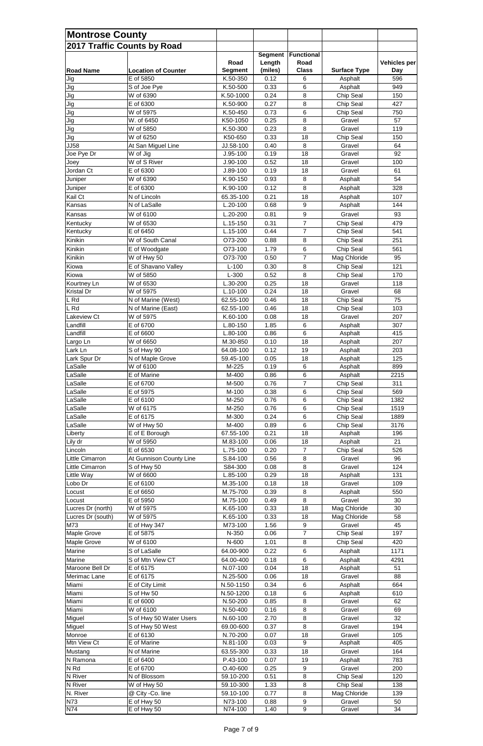| <b>Montrose County</b>             |                              |                         |                          |                           |                     |                     |
|------------------------------------|------------------------------|-------------------------|--------------------------|---------------------------|---------------------|---------------------|
|                                    | 2017 Traffic Counts by Road  | Road                    | <b>Segment</b><br>Length | <b>Functional</b><br>Road |                     | <b>Vehicles per</b> |
| <b>Road Name</b>                   | <b>Location of Counter</b>   | <b>Segment</b>          | (miles)                  | <b>Class</b>              | <b>Surface Type</b> | <b>Day</b>          |
| Jig                                | E of 5850                    | K.50-350                | 0.12                     | 6                         | Asphalt             | 596                 |
| Jig                                | S of Joe Pye                 | K.50-500                | 0.33                     | 6                         | Asphalt             | 949                 |
| Jig                                | W of 6390                    | K.50-1000               | 0.24                     | 8                         | Chip Seal           | 150                 |
| Jig                                | E of 6300                    | K.50-900                | 0.27                     | 8                         | Chip Seal           | 427                 |
| Jig                                | W of 5975                    | K.50-450                | 0.73                     | 6                         | Chip Seal           | 750                 |
| Jig                                | W. of 6450                   | K50-1050                | 0.25                     | 8                         | Gravel              | 57                  |
| Jig                                | W of 5850                    | K.50-300                | 0.23                     | 8                         | Gravel              | 119                 |
| Jig                                | W of 6250                    | K50-650                 | 0.33                     | 18                        | Chip Seal           | 150                 |
| <b>JJ58</b>                        | At San Miguel Line           | JJ.58-100               | 0.40                     | 8                         | Gravel              | 64                  |
| Joe Pye Dr                         | W of Jig                     | $J.95-100$              | 0.19                     | 18                        | Gravel              | 92                  |
| Joey                               | W of S River                 | $J.90-100$              | 0.52                     | 18                        | Gravel              | 100                 |
| Jordan Ct                          | E of 6300                    | J.89-100                | 0.19                     | 18                        | Gravel              | 61                  |
| Juniper                            | W of 6390<br>E of 6300       | K.90-150<br>K.90-100    | 0.93<br>0.12             | 8<br>8                    | Asphalt             | 54<br>328           |
| Juniper                            |                              |                         |                          |                           | Asphalt             |                     |
| Kail Ct<br>Kansas                  | N of Lincoln<br>N of LaSalle | 65.35-100<br>$L.20-100$ | 0.21<br>0.68             | 18                        | Asphalt             | 107                 |
|                                    |                              |                         |                          | 9                         | Asphalt             | 144                 |
| Kansas                             | W of 6100                    | $L.20 - 200$            | 0.81                     | 9                         | Gravel              | 93                  |
| Kentucky                           | W of 6530                    | $L.15-150$              | 0.31                     | $\overline{7}$            | Chip Seal           | 479                 |
| Kentucky                           | E of 6450                    | $L.15-100$              | 0.44                     | $\overline{7}$            | Chip Seal           | 541                 |
| Kinikin                            | W of South Canal             | O73-200                 | 0.88                     | 8                         | Chip Seal           | 251                 |
| Kinikin                            | E of Woodgate                | O73-100                 | 1.79                     | 6                         | Chip Seal           | 561                 |
| Kinikin                            | W of Hwy 50                  | O73-700                 | 0.50                     | $\overline{7}$            | Mag Chloride        | 95                  |
| Kiowa                              | E of Shavano Valley          | $L-100$                 | 0.30                     | 8                         | Chip Seal           | 121                 |
| Kiowa                              | W of 5850                    | $L-300$                 | 0.52                     | 8                         | Chip Seal           | 170                 |
| Kourtney Ln                        | W of 6530                    | L.30-200                | 0.25                     | 18                        | Gravel              | 118                 |
| <b>Kristal Dr</b>                  | W of 5975                    | L.10-100                | 0.24                     | 18                        | Gravel              | 68                  |
| L Rd                               | N of Marine (West)           | 62.55-100               | 0.46                     | 18                        | <b>Chip Seal</b>    | 75                  |
| $L$ Rd                             | N of Marine (East)           | 62.55-100               | 0.46                     | 18                        | Chip Seal           | 103                 |
| Lakeview Ct                        | W of 5975                    | K.60-100                | 0.08                     | 18                        | Gravel              | 207                 |
| Landfill                           | E of 6700                    | L.80-150                | 1.85                     | 6                         | Asphalt             | 307                 |
| Landfill                           | E of 6600                    | L.80-100                | 0.86                     | $6\phantom{1}$            | Asphalt             | 415                 |
| Largo Ln                           | W of 6650                    | M.30-850                | 0.10                     | 18                        | Asphalt             | 207                 |
| Lark Ln                            | S of Hwy 90                  | 64.08-100               | 0.12                     | 19                        | Asphalt             | 203                 |
| Lark Spur Dr                       | N of Maple Grove             | 59.45-100               | 0.05                     | 18                        | Asphalt             | 125                 |
| LaSalle                            | W of 6100                    | M-225                   | 0.19                     | $6\phantom{1}$            | Asphalt             | 899                 |
| LaSalle                            | E of Marine                  | M-400                   | 0.86                     | $6\phantom{a}$            | Asphalt             | 2215                |
| LaSalle                            | E of 6700                    | M-500                   | 0.76                     | $\overline{7}$            | Chip Seal           | 311                 |
| LaSalle                            | E of 5975                    | M-100                   | 0.38                     | 6                         | Chip Seal           | 569                 |
| LaSalle                            | E of 6100                    | M-250                   | 0.76                     | 6                         | Chip Seal           | 1382                |
| LaSalle                            | W of 6175                    | M-250                   | 0.76                     | $6\phantom{1}$            | Chip Seal           | 1519                |
| LaSalle                            | E of 6175                    | M-300                   | 0.24                     | 6                         | Chip Seal           | 1889                |
| LaSalle                            | W of Hwy 50                  | M-400                   | 0.89                     | 6                         | Chip Seal           | 3176                |
| Liberty                            | E of E Borough               | 67.55-100               | 0.21                     | 18                        | Asphalt             | 196                 |
| Lily dr                            | W of 5950                    | M.83-100                | 0.06                     | 18                        | Asphalt             | 21                  |
| Lincoln                            | E of 6530                    | L.75-100                | 0.20                     | $\overline{7}$            | Chip Seal           | 526<br>96           |
| Little Cimarron<br>Little Cimarron | At Gunnison County Line      | S.84-100                | 0.56                     | 8<br>8                    | Gravel<br>Gravel    | 124                 |
|                                    | S of Hwy 50<br>W of 6600     | S84-300                 | 0.08<br>0.29             | 18                        |                     |                     |
| Little Way<br>Lobo Dr              | E of 6100                    | $L.85-100$<br>M.35-100  | 0.18                     | 18                        | Asphalt<br>Gravel   | 131<br>109          |
| Locust                             | E of 6650                    | M.75-700                | 0.39                     | 8                         | Asphalt             | 550                 |
| Locust                             | E of 5950                    | M.75-100                | 0.49                     | 8                         | Gravel              | 30                  |
| Lucres Dr (north)                  | W of 5975                    | K.65-100                | 0.33                     | 18                        | Mag Chloride        | 30                  |
| Lucres Dr (south)                  | W of 5975                    | K.65-100                | 0.33                     | 18                        | Mag Chloride        | 58                  |
| M73                                | E of Hwy 347                 | M73-100                 | 1.56                     | 9                         | Gravel              | 45                  |
| Maple Grove                        | E of 5875                    | N-350                   | 0.06                     | $\overline{7}$            | Chip Seal           | 197                 |
| Maple Grove                        | W of 6100                    | N-600                   | 1.01                     | 8                         | Chip Seal           | 420                 |
| Marine                             | S of LaSalle                 | 64.00-900               | 0.22                     | $\,6\,$                   | Asphalt             | 1171                |
| Marine                             | S of Mtn View CT             | 64.00-400               | 0.18                     | $6\phantom{1}$            |                     | 4291                |
|                                    |                              |                         |                          |                           | Asphalt             |                     |
| Maroone Bell Dr<br>Merimac Lane    | E of 6175<br>E of 6175       | N.07-100<br>N.25-500    | 0.04<br>0.06             | 18<br>18                  | Asphalt<br>Gravel   | 51<br>88            |
| Miami                              | E of City Limit              | N.50-1150               | 0.34                     | 6                         | Asphalt             | 664                 |
| Miami                              | S of Hw 50                   | N.50-1200               | 0.18                     | 6                         | Asphalt             | 610                 |
| Miami                              | E of 6000                    | N.50-200                | 0.85                     | 8                         | Gravel              | 62                  |
| Miami                              | W of 6100                    | N.50-400                | 0.16                     | 8                         | Gravel              | 69                  |
| Miguel                             | S of Hwy 50 Water Users      | N.60-100                | 2.70                     | 8                         | Gravel              | 32                  |
| Miguel                             | S of Hwy 50 West             | 69.00-600               | 0.37                     | 8                         | Gravel              | 194                 |
| Monroe                             | E of 6130                    | N.70-200                | 0.07                     | 18                        | Gravel              | 105                 |
| Mtn View Ct                        | E of Marine                  | N.81-100                | 0.03                     | 9                         | Asphalt             | 405                 |
|                                    |                              |                         | 0.33                     |                           |                     | 164                 |
| Mustang<br>N Ramona                | N of Marine                  | 63.55-300               |                          | 18                        | Gravel              |                     |
|                                    | E of 6400                    | P.43-100                | 0.07                     | 19                        | Asphalt             | 783                 |
| N Rd                               | E of 6700                    | $O.40 - 600$            | 0.25                     | 9                         | Gravel              | 200                 |
| N River                            | N of Blossom                 | 59.10-200               | 0.51                     | 8                         | Chip Seal           | 120                 |
| N River                            | W of Hwy 50                  | 59.10-300               | 1.33                     | 8                         | Chip Seal           | 138                 |
| N. River                           | @ City -Co. line             | 59.10-100               | 0.77                     | 8                         | Mag Chloride        | 139                 |
| <b>N73</b>                         | E of Hwy 50                  | N73-100                 | 0.88                     | $\boldsymbol{9}$          | Gravel              | 50                  |
| N74                                | E of Hwy 50                  | N74-100                 | 1.40                     | 9                         | Gravel              | 34                  |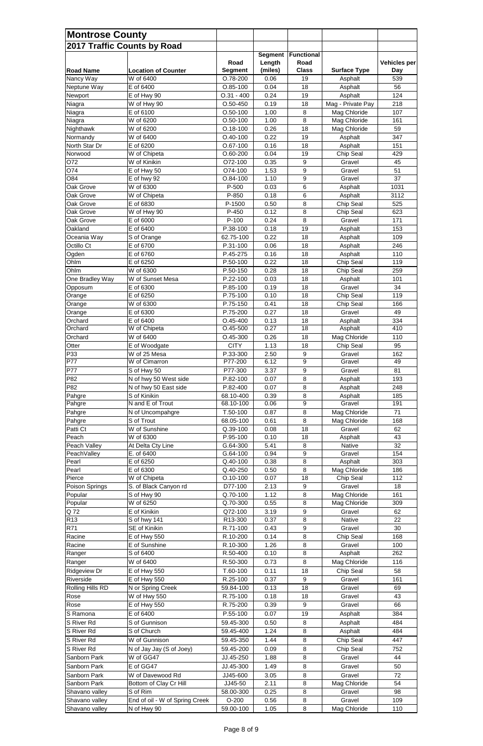| <b>Montrose County</b>    | 2017 Traffic Counts by Road    |                              |                   |                           |                     |                     |
|---------------------------|--------------------------------|------------------------------|-------------------|---------------------------|---------------------|---------------------|
|                           |                                | Road                         | Segment<br>Length | <b>Functional</b><br>Road |                     | <b>Vehicles per</b> |
| <b>Road Name</b>          | <b>Location of Counter</b>     | <b>Segment</b>               | (miles)           | <b>Class</b>              | <b>Surface Type</b> | <b>Day</b>          |
| Nancy Way                 | W of 6400                      | O.78-200                     | 0.06              | 19                        | Asphalt             | 539                 |
| Neptune Way               | E of 6400                      | $O.85-100$                   | 0.04              | 18                        | Asphalt             | 56                  |
| Newport                   | E of Hwy 90                    | $0.31 - 400$                 | 0.24              | 19                        | Asphalt             | 124                 |
| Niagra                    | W of Hwy 90                    | $O.50 - 450$                 | 0.19              | 18                        | Mag - Private Pay   | 218                 |
| Niagra                    | E of 6100                      | $O.50 - 100$                 | 1.00              | 8                         | Mag Chloride        | 107                 |
| Niagra                    | W of 6200                      | $O.50 - 100$                 | 1.00              | 8                         | Mag Chloride        | 161                 |
| Nighthawk                 | W of 6200<br>W of 6400         | $O.18 - 100$<br>$O.40 - 100$ | 0.26<br>0.22      | 18<br>19                  | Mag Chloride        | 59<br>347           |
| Normandy<br>North Star Dr | E of 6200                      | $O.67-100$                   | 0.16              | 18                        | Asphalt<br>Asphalt  | 151                 |
| Norwood                   | W of Chipeta                   | $O.60 - 200$                 | 0.04              | 19                        | Chip Seal           | 429                 |
| O72                       | W of Kinikin                   | O72-100                      | 0.35              | 9                         | Gravel              | 45                  |
| O74                       | E of Hwy 50                    | O74-100                      | 1.53              | 9                         | Gravel              | 51                  |
| O84                       | E of hwy 92                    | $O.84-100$                   | 1.10              | 9                         | Gravel              | 37                  |
| Oak Grove                 | W of 6300                      | P-500                        | 0.03              | 6                         | Asphalt             | 1031                |
| Oak Grove                 | W of Chipeta                   | P-850                        | 0.18              | $6\phantom{1}6$           | Asphalt             | 3112                |
| Oak Grove                 | E of 6830                      | P-1500                       | 0.50              | 8                         | Chip Seal           | 525                 |
| Oak Grove                 | W of Hwy 90                    | P-450                        | 0.12              | 8                         | Chip Seal           | 623                 |
| Oak Grove                 | E of 6000                      | P-100                        | 0.24              | 8                         | Gravel              | 171                 |
| Oakland                   | E of 6400                      | P.38-100                     | 0.18              | 19                        | Asphalt             | 153                 |
| Oceania Way               | S of Orange                    | 62.75-100                    | 0.22              | 18                        | Asphalt             | 109                 |
| Octillo Ct                | E of 6700                      | P.31-100                     | 0.06              | 18                        | Asphalt             | 246                 |
| Ogden                     | E of 6760                      | P.45-275                     | 0.16              | 18                        | Asphalt             | 110                 |
| Ohlm                      | E of 6250                      | P.50-100                     | 0.22              | 18                        | Chip Seal           | 119                 |
| Ohlm                      | W of 6300                      | P.50-150                     | 0.28              | 18                        | Chip Seal           | 259                 |
| One Bradley Way           | W of Sunset Mesa               | P.22-100                     | 0.03              | 18                        | Asphalt             | 101                 |
| Opposum                   | E of 6300                      | P.85-100                     | 0.19              | 18                        | Gravel              | 34                  |
| Orange                    | E of 6250                      | P.75-100                     | 0.10              | 18                        | Chip Seal           | 119                 |
| Orange                    | W of 6300<br>E of 6300         | P.75-150<br>P.75-200         | 0.41<br>0.27      | 18<br>18                  | Chip Seal<br>Gravel | 166<br>49           |
| Orange<br>Orchard         | E of 6400                      | $O.45 - 400$                 | 0.13              | 18                        | Asphalt             | 334                 |
| Orchard                   | W of Chipeta                   | $O.45 - 500$                 | 0.27              | 18                        | Asphalt             | 410                 |
| Orchard                   | W of 6400                      | $O.45 - 300$                 | 0.26              | 18                        | Mag Chloride        | 110                 |
| Otter                     | E of Woodgate                  | <b>CITY</b>                  | 1.13              | 18                        | Chip Seal           | 95                  |
| P33                       | W of 25 Mesa                   | P.33-300                     | 2.50              | 9                         | Gravel              | 162                 |
| P77                       | W of Cimarron                  | P77-200                      | 6.12              | 9                         | Gravel              | 49                  |
| P77                       | S of Hwy 50                    | P77-300                      | 3.37              | 9                         | Gravel              | 81                  |
| P82                       | N of hwy 50 West side          | P.82-100                     | 0.07              | 8                         | Asphalt             | 193                 |
| P82                       | N of hwy 50 East side          | P.82-400                     | 0.07              | 8                         | Asphalt             | 248                 |
| Pahgre                    | S of Kinikin                   | 68.10-400                    | 0.39              | 8                         | Asphalt             | 185                 |
| Pahgre                    | N and E of Trout               | 68.10-100                    | 0.06              | 9                         | Gravel              | 191                 |
| Pahgre                    | N of Uncompahgre               | $T.50-100$                   | 0.87              | 8                         | Mag Chloride        | 71                  |
| Pahgre                    | S of Trout                     | 68.05-100                    | 0.61              | 8                         | Mag Chloride        | 168                 |
| Patti Ct                  | W of Sunshine                  | Q.39-100                     | 0.08              | 18                        | Gravel              | 62                  |
| Peach                     | W of 6300                      | P.95-100                     | 0.10              | 18                        | Asphalt             | 43                  |
| Peach Valley              | At Delta Cty Line              | G.64-300                     | 5.41              | 8                         | <b>Native</b>       | 32                  |
| PeachValley<br>Pearl      | E. of 6400<br>E of 6250        | G.64-100<br>Q.40-100         | 0.94<br>0.38      | $\boldsymbol{9}$<br>8     | Gravel<br>Asphalt   | 154<br>303          |
| Pearl                     | E of 6300                      | Q.40-250                     | 0.50              | 8                         | Mag Chloride        | 186                 |
| Pierce                    | W of Chipeta                   | $O.10 - 100$                 | 0.07              | 18                        | Chip Seal           | 112                 |
| Poison Springs            | S. of Black Canyon rd          | D77-100                      | 2.13              | 9                         | Gravel              | 18                  |
| Popular                   | S of Hwy 90                    | Q.70-100                     | 1.12              | 8                         | Mag Chloride        | 161                 |
| Popular                   | W of 6250                      | Q.70-300                     | 0.55              | 8                         | Mag Chloride        | 309                 |
| Q 72                      | E of Kinikin                   | Q72-100                      | 3.19              | 9                         | Gravel              | 62                  |
| R <sub>13</sub>           | S of hwy 141                   | R13-300                      | 0.37              | 8                         | <b>Native</b>       | 22                  |
| R71                       | SE of Kinikin                  | R.71-100                     | 0.43              | $\boldsymbol{9}$          | Gravel              | 30                  |
| Racine                    | E of Hwy 550                   | R.10-200                     | 0.14              | 8                         | Chip Seal           | 168                 |
| Racine                    | E of Sunshine                  | R.10-300                     | 1.26              | 8                         | Gravel              | 100                 |
| Ranger                    | S of 6400                      | R.50-400                     | 0.10              | 8                         | Asphalt             | 262                 |
| Ranger                    | W of 6400                      | R.50-300                     | 0.73              | 8                         | Mag Chloride        | 116                 |
| Ridgeview Dr              | E of Hwy 550                   | T.60-100                     | 0.11              | 18                        | Chip Seal           | 58                  |
| Riverside                 | E of Hwy 550                   | R.25-100                     | 0.37              | 9                         | Gravel              | 161                 |
| Rolling Hills RD          | N or Spring Creek              | 59.84-100                    | 0.13              | 18                        | Gravel              | 69                  |
| Rose                      | W of Hwy 550                   | R.75-100                     | 0.18              | 18                        | Gravel              | 43                  |
| Rose                      | E of Hwy 550                   | R.75-200                     | 0.39              | 9                         | Gravel              | 66                  |
| S Ramona                  | E of 6400                      | P.55-100                     | 0.07              | 19                        | Asphalt             | 384                 |
| S River Rd                | S of Gunnison                  | 59.45-300                    | 0.50              | 8                         | Asphalt             | 484                 |
| S River Rd                | S of Church                    | 59.45-400                    | 1.24              | 8                         | Asphalt             | 484                 |
| S River Rd                | W of Gunnison                  | 59.45-350                    | 1.44              | 8                         | Chip Seal           | 447                 |
| S River Rd                | N of Jay Jay (S of Joey)       | 59.45-200                    | 0.09              | 8                         | Chip Seal           | 752                 |
| Sanborn Park              | W of GG47                      | JJ.45-250                    | 1.88              | 8                         | Gravel              | 44                  |
| Sanborn Park              | E of GG47                      | JJ.45-300                    | 1.49              | 8                         | Gravel              | 50                  |
| Sanborn Park              | W of Davewood Rd               | JJ45-600                     | 3.05              | 8                         | Gravel              | 72                  |
| Sanborn Park              | Bottom of Clay Cr Hill         | JJ45-50                      | 2.11              | 8                         | Mag Chloride        | 54                  |
| Shavano valley            | S of Rim                       | 58.00-300                    | 0.25              | 8                         | Gravel              | 98                  |
| Shavano valley            | End of oil - W of Spring Creek | $O-200$                      | 0.56              | 8                         | Gravel              | 109                 |
| Shavano valley            | N of Hwy 90                    | 59.00-100                    | 1.05              | 8                         | Mag Chloride        | 110                 |